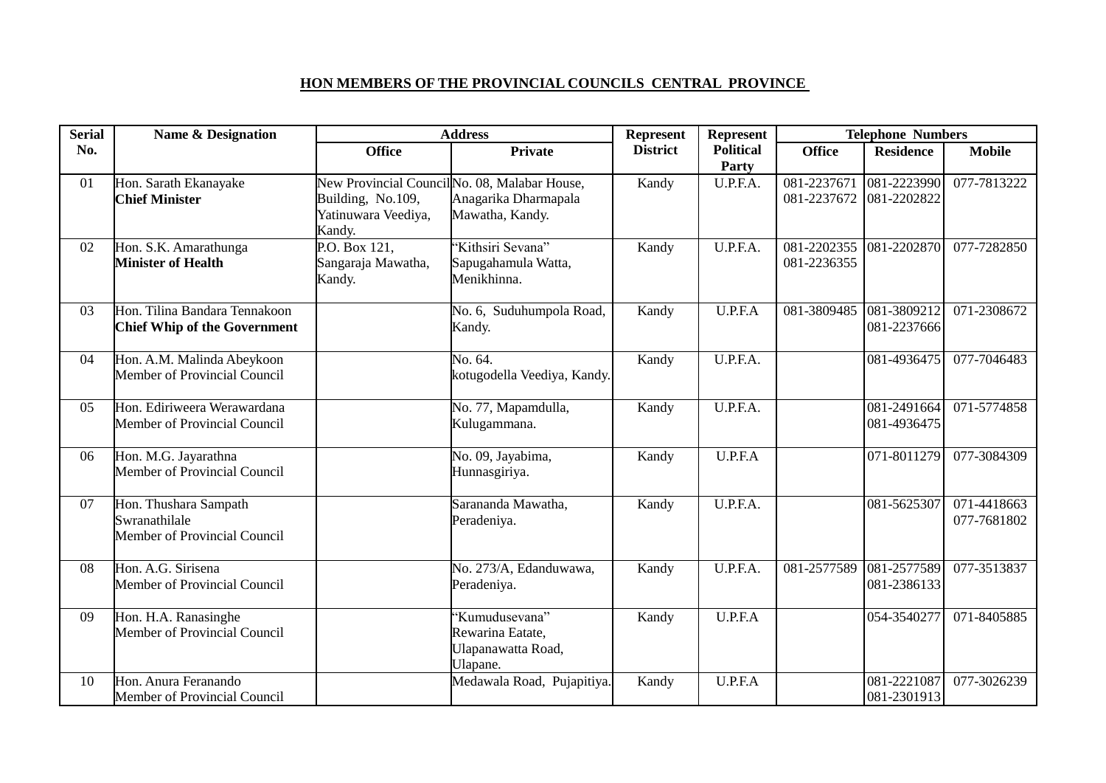## **HON MEMBERS OF THE PROVINCIAL COUNCILS CENTRAL PROVINCE**

| <b>Serial</b> | <b>Name &amp; Designation</b>                                          | <b>Address</b>                                     |                                                                                          | <b>Represent</b><br>Represent |                           | <b>Telephone Numbers</b>   |                            |                            |
|---------------|------------------------------------------------------------------------|----------------------------------------------------|------------------------------------------------------------------------------------------|-------------------------------|---------------------------|----------------------------|----------------------------|----------------------------|
| No.           |                                                                        | <b>Office</b>                                      | <b>Private</b>                                                                           | <b>District</b>               | <b>Political</b><br>Party | <b>Office</b>              | <b>Residence</b>           | <b>Mobile</b>              |
| 01            | Hon. Sarath Ekanayake<br><b>Chief Minister</b>                         | Building, No.109,<br>Yatinuwara Veediya,<br>Kandy. | New Provincial Council No. 08, Malabar House,<br>Anagarika Dharmapala<br>Mawatha, Kandy. | Kandy                         | U.P.F.A.                  | 081-2237671<br>081-2237672 | 081-2223990<br>081-2202822 | 077-7813222                |
| 02            | Hon. S.K. Amarathunga<br><b>Minister of Health</b>                     | P.O. Box 121,<br>Sangaraja Mawatha,<br>Kandy.      | 'Kithsiri Sevana''<br>Sapugahamula Watta,<br>Menikhinna.                                 | Kandy                         | U.P.F.A.                  | 081-2202355<br>081-2236355 | 081-2202870                | 077-7282850                |
| 03            | Hon. Tilina Bandara Tennakoon<br><b>Chief Whip of the Government</b>   |                                                    | No. 6, Suduhumpola Road,<br>Kandy.                                                       | Kandy                         | U.P.F.A                   | 081-3809485                | 081-3809212<br>081-2237666 | 071-2308672                |
| 04            | Hon. A.M. Malinda Abeykoon<br>Member of Provincial Council             |                                                    | No. 64.<br>kotugodella Veediya, Kandy.                                                   | Kandy                         | U.P.F.A.                  |                            | 081-4936475                | 077-7046483                |
| 05            | Hon. Ediriweera Werawardana<br>Member of Provincial Council            |                                                    | No. 77, Mapamdulla,<br>Kulugammana.                                                      | Kandy                         | U.P.F.A.                  |                            | 081-2491664<br>081-4936475 | 071-5774858                |
| 06            | Hon. M.G. Jayarathna<br>Member of Provincial Council                   |                                                    | No. 09, Jayabima,<br>Hunnasgiriya.                                                       | Kandy                         | U.P.F.A                   |                            | 071-8011279                | 077-3084309                |
| 07            | Hon. Thushara Sampath<br>Swranathilale<br>Member of Provincial Council |                                                    | Sarananda Mawatha,<br>Peradeniya.                                                        | Kandy                         | U.P.F.A.                  |                            | 081-5625307                | 071-4418663<br>077-7681802 |
| 08            | Hon. A.G. Sirisena<br>Member of Provincial Council                     |                                                    | No. 273/A, Edanduwawa,<br>Peradeniya.                                                    | Kandy                         | U.P.F.A.                  | 081-2577589                | 081-2577589<br>081-2386133 | 077-3513837                |
| 09            | Hon. H.A. Ranasinghe<br>Member of Provincial Council                   |                                                    | 'Kumudusevana''<br>Rewarina Eatate,<br>Ulapanawatta Road,<br>Ulapane.                    | Kandy                         | U.P.F.A                   |                            | 054-3540277                | 071-8405885                |
| 10            | Hon. Anura Feranando<br>Member of Provincial Council                   |                                                    | Medawala Road, Pujapitiya.                                                               | Kandy                         | U.P.F.A                   |                            | 081-2221087<br>081-2301913 | 077-3026239                |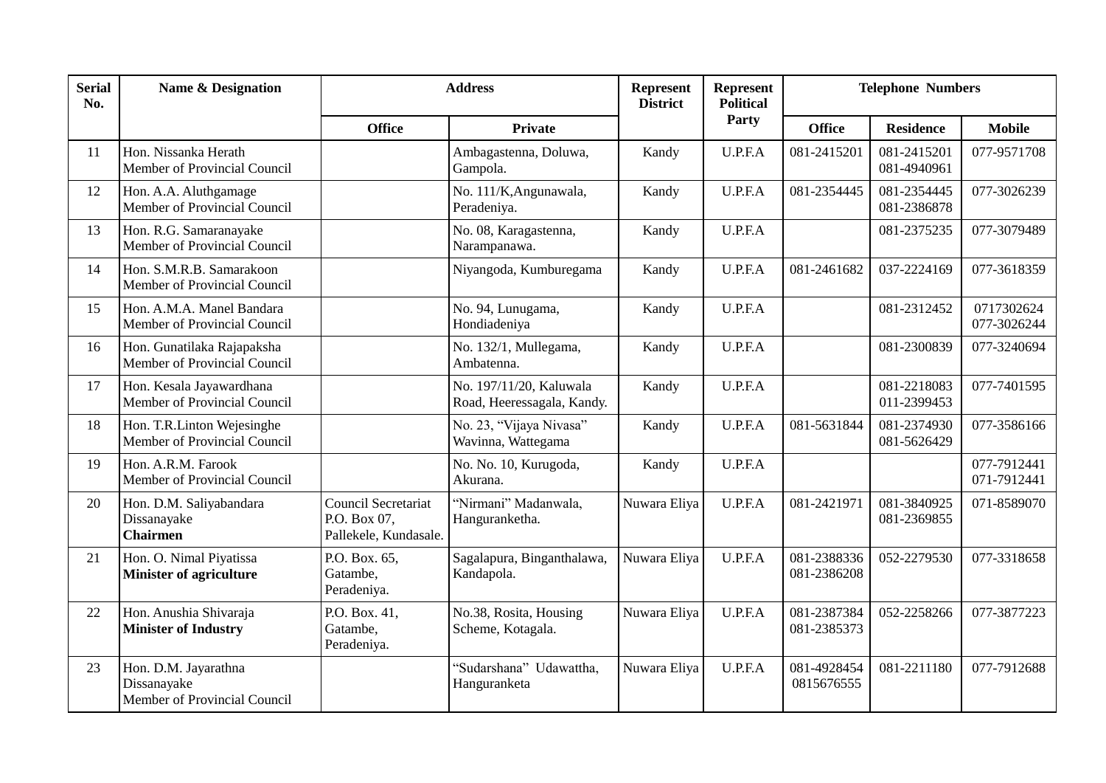| <b>Serial</b><br>No. | <b>Name &amp; Designation</b><br><b>Address</b>                     |                                                                     |                                                       | Represent<br><b>District</b> | <b>Represent</b><br><b>Political</b> | <b>Telephone Numbers</b>   |                            |                            |
|----------------------|---------------------------------------------------------------------|---------------------------------------------------------------------|-------------------------------------------------------|------------------------------|--------------------------------------|----------------------------|----------------------------|----------------------------|
|                      |                                                                     | <b>Office</b>                                                       | <b>Private</b>                                        |                              | Party                                | <b>Office</b>              | <b>Residence</b>           | <b>Mobile</b>              |
| 11                   | Hon. Nissanka Herath<br>Member of Provincial Council                |                                                                     | Ambagastenna, Doluwa,<br>Gampola.                     | Kandy                        | U.P.F.A                              | 081-2415201                | 081-2415201<br>081-4940961 | 077-9571708                |
| 12                   | Hon. A.A. Aluthgamage<br>Member of Provincial Council               |                                                                     | No. 111/K, Angunawala,<br>Peradeniya.                 | Kandy                        | U.P.F.A                              | 081-2354445                | 081-2354445<br>081-2386878 | 077-3026239                |
| 13                   | Hon. R.G. Samaranayake<br>Member of Provincial Council              |                                                                     | No. 08, Karagastenna,<br>Narampanawa.                 | Kandy                        | U.P.F.A                              |                            | 081-2375235                | 077-3079489                |
| 14                   | Hon. S.M.R.B. Samarakoon<br>Member of Provincial Council            |                                                                     | Niyangoda, Kumburegama                                | Kandy                        | U.P.F.A                              | 081-2461682                | 037-2224169                | 077-3618359                |
| 15                   | Hon. A.M.A. Manel Bandara<br>Member of Provincial Council           |                                                                     | No. 94, Lunugama,<br>Hondiadeniya                     | Kandy                        | U.P.F.A                              |                            | 081-2312452                | 0717302624<br>077-3026244  |
| 16                   | Hon. Gunatilaka Rajapaksha<br>Member of Provincial Council          |                                                                     | No. 132/1, Mullegama,<br>Ambatenna.                   | Kandy                        | U.P.F.A                              |                            | 081-2300839                | 077-3240694                |
| 17                   | Hon. Kesala Jayawardhana<br>Member of Provincial Council            |                                                                     | No. 197/11/20, Kaluwala<br>Road, Heeressagala, Kandy. | Kandy                        | U.P.F.A                              |                            | 081-2218083<br>011-2399453 | 077-7401595                |
| 18                   | Hon. T.R.Linton Wejesinghe<br>Member of Provincial Council          |                                                                     | No. 23, "Vijaya Nivasa"<br>Wavinna, Wattegama         | Kandy                        | U.P.F.A                              | 081-5631844                | 081-2374930<br>081-5626429 | 077-3586166                |
| 19                   | Hon. A.R.M. Farook<br>Member of Provincial Council                  |                                                                     | No. No. 10, Kurugoda,<br>Akurana.                     | Kandy                        | U.P.F.A                              |                            |                            | 077-7912441<br>071-7912441 |
| 20                   | Hon. D.M. Saliyabandara<br>Dissanayake<br><b>Chairmen</b>           | <b>Council Secretariat</b><br>P.O. Box 07,<br>Pallekele, Kundasale. | "Nirmani" Madanwala,<br>Hanguranketha.                | Nuwara Eliya                 | U.P.F.A                              | 081-2421971                | 081-3840925<br>081-2369855 | 071-8589070                |
| 21                   | Hon. O. Nimal Piyatissa<br><b>Minister of agriculture</b>           | P.O. Box. 65,<br>Gatambe,<br>Peradeniya.                            | Sagalapura, Binganthalawa,<br>Kandapola.              | Nuwara Eliya                 | U.P.F.A                              | 081-2388336<br>081-2386208 | 052-2279530                | 077-3318658                |
| 22                   | Hon. Anushia Shivaraja<br><b>Minister of Industry</b>               | P.O. Box. 41,<br>Gatambe,<br>Peradeniya.                            | No.38, Rosita, Housing<br>Scheme, Kotagala.           | Nuwara Eliya                 | U.P.F.A                              | 081-2387384<br>081-2385373 | 052-2258266                | 077-3877223                |
| 23                   | Hon. D.M. Jayarathna<br>Dissanayake<br>Member of Provincial Council |                                                                     | "Sudarshana" Udawattha,<br>Hanguranketa               | Nuwara Eliya                 | U.P.F.A                              | 081-4928454<br>0815676555  | 081-2211180                | 077-7912688                |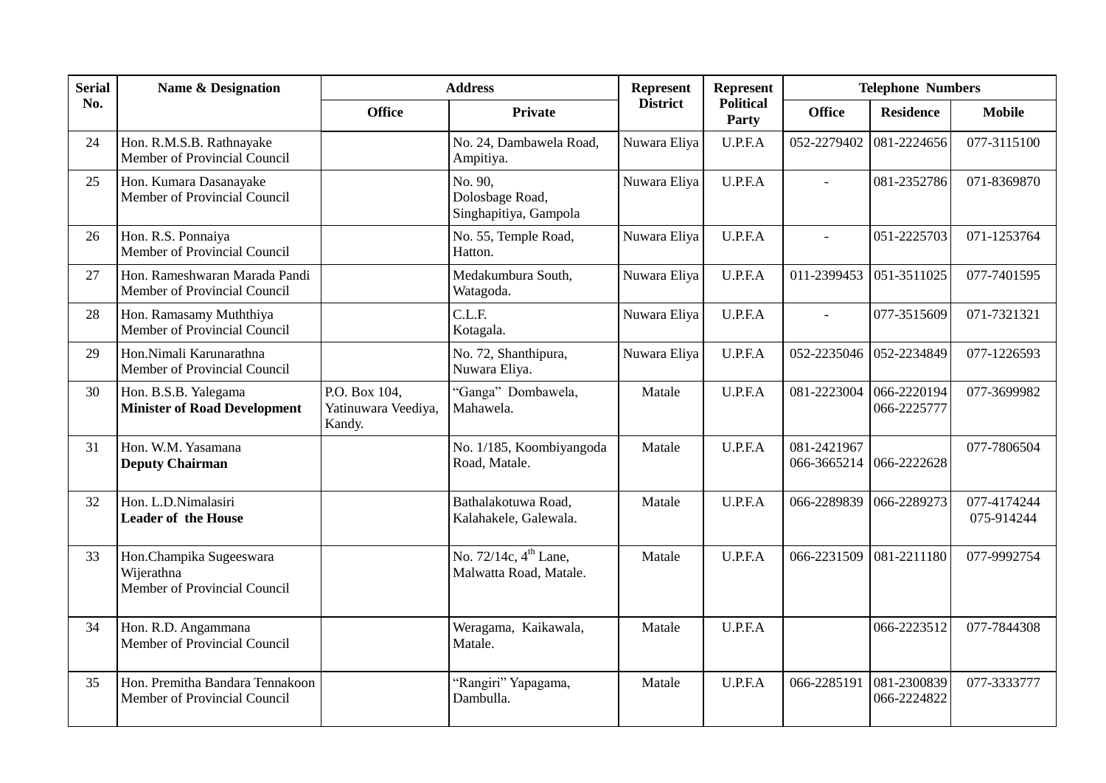| <b>Serial</b> | <b>Name &amp; Designation</b>                                         | <b>Address</b>                                 |                                                             | Represent       | Represent                 | <b>Telephone Numbers</b>   |                            |                           |
|---------------|-----------------------------------------------------------------------|------------------------------------------------|-------------------------------------------------------------|-----------------|---------------------------|----------------------------|----------------------------|---------------------------|
| No.           |                                                                       | <b>Office</b>                                  | Private                                                     | <b>District</b> | <b>Political</b><br>Party | <b>Office</b>              | <b>Residence</b>           | <b>Mobile</b>             |
| 24            | Hon. R.M.S.B. Rathnayake<br>Member of Provincial Council              |                                                | No. 24, Dambawela Road,<br>Ampitiya.                        | Nuwara Eliya    | U.P.F.A                   | 052-2279402                | 081-2224656                | 077-3115100               |
| 25            | Hon. Kumara Dasanayake<br>Member of Provincial Council                |                                                | No. 90,<br>Dolosbage Road,<br>Singhapitiya, Gampola         | Nuwara Eliya    | U.P.F.A                   | $\overline{a}$             | 081-2352786                | 071-8369870               |
| 26            | Hon. R.S. Ponnaiya<br>Member of Provincial Council                    |                                                | No. 55, Temple Road,<br>Hatton.                             | Nuwara Eliya    | U.P.F.A                   | $\overline{a}$             | 051-2225703                | 071-1253764               |
| 27            | Hon. Rameshwaran Marada Pandi<br>Member of Provincial Council         |                                                | Medakumbura South,<br>Watagoda.                             | Nuwara Eliya    | U.P.F.A                   | 011-2399453                | 051-3511025                | 077-7401595               |
| 28            | Hon. Ramasamy Muththiya<br>Member of Provincial Council               |                                                | C.L.F.<br>Kotagala.                                         | Nuwara Eliya    | U.P.F.A                   | $\overline{a}$             | 077-3515609                | 071-7321321               |
| 29            | Hon.Nimali Karunarathna<br>Member of Provincial Council               |                                                | No. 72, Shanthipura,<br>Nuwara Eliya.                       | Nuwara Eliya    | U.P.F.A                   | 052-2235046                | 052-2234849                | 077-1226593               |
| 30            | Hon. B.S.B. Yalegama<br><b>Minister of Road Development</b>           | P.O. Box 104,<br>Yatinuwara Veediya,<br>Kandy. | "Ganga" Dombawela,<br>Mahawela.                             | Matale          | U.P.F.A                   | 081-2223004                | 066-2220194<br>066-2225777 | 077-3699982               |
| 31            | Hon. W.M. Yasamana<br><b>Deputy Chairman</b>                          |                                                | No. 1/185, Koombiyangoda<br>Road, Matale.                   | Matale          | U.P.F.A                   | 081-2421967<br>066-3665214 | 066-2222628                | 077-7806504               |
| 32            | Hon. L.D.Nimalasiri<br><b>Leader of the House</b>                     |                                                | Bathalakotuwa Road,<br>Kalahakele, Galewala.                | Matale          | U.P.F.A                   | 066-2289839                | 066-2289273                | 077-4174244<br>075-914244 |
| 33            | Hon.Champika Sugeeswara<br>Wijerathna<br>Member of Provincial Council |                                                | No. 72/14c, 4 <sup>th</sup> Lane,<br>Malwatta Road, Matale. | Matale          | U.P.F.A                   | 066-2231509                | 081-2211180                | 077-9992754               |
| 34            | Hon. R.D. Angammana<br>Member of Provincial Council                   |                                                | Weragama, Kaikawala,<br>Matale.                             | Matale          | U.P.F.A                   |                            | 066-2223512                | 077-7844308               |
| 35            | Hon. Premitha Bandara Tennakoon<br>Member of Provincial Council       |                                                | "Rangiri" Yapagama,<br>Dambulla.                            | Matale          | U.P.F.A                   | 066-2285191                | 081-2300839<br>066-2224822 | 077-3333777               |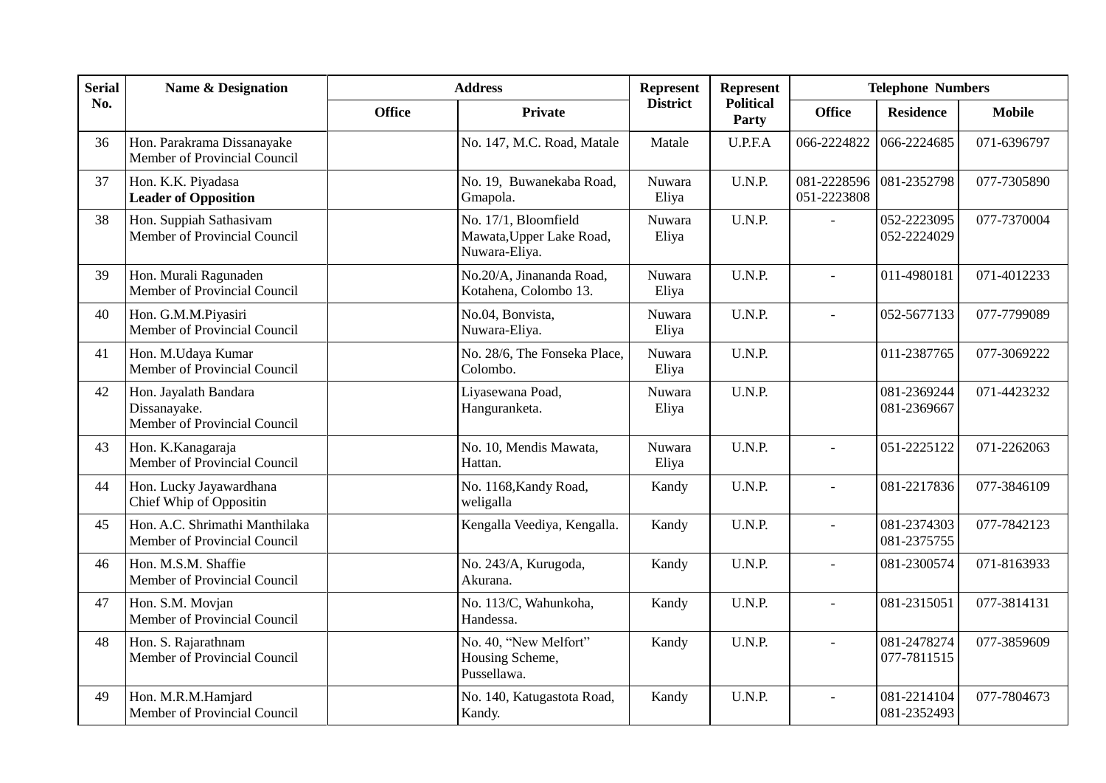| <b>Serial</b> | <b>Name &amp; Designation</b>                                         | <b>Address</b> |                                                                   | Represent       | <b>Represent</b>          | <b>Telephone Numbers</b>   |                            |               |
|---------------|-----------------------------------------------------------------------|----------------|-------------------------------------------------------------------|-----------------|---------------------------|----------------------------|----------------------------|---------------|
| No.           |                                                                       | <b>Office</b>  | <b>Private</b>                                                    | <b>District</b> | <b>Political</b><br>Party | <b>Office</b>              | <b>Residence</b>           | <b>Mobile</b> |
| 36            | Hon. Parakrama Dissanayake<br>Member of Provincial Council            |                | No. 147, M.C. Road, Matale                                        | Matale          | U.P.F.A                   | 066-2224822                | 066-2224685                | 071-6396797   |
| 37            | Hon. K.K. Piyadasa<br><b>Leader of Opposition</b>                     |                | No. 19, Buwanekaba Road,<br>Gmapola.                              | Nuwara<br>Eliya | U.N.P.                    | 081-2228596<br>051-2223808 | 081-2352798                | 077-7305890   |
| 38            | Hon. Suppiah Sathasivam<br>Member of Provincial Council               |                | No. 17/1, Bloomfield<br>Mawata, Upper Lake Road,<br>Nuwara-Eliya. | Nuwara<br>Eliya | U.N.P.                    | $\overline{a}$             | 052-2223095<br>052-2224029 | 077-7370004   |
| 39            | Hon. Murali Ragunaden<br>Member of Provincial Council                 |                | No.20/A, Jinananda Road,<br>Kotahena, Colombo 13.                 | Nuwara<br>Eliya | U.N.P.                    |                            | 011-4980181                | 071-4012233   |
| 40            | Hon. G.M.M.Piyasiri<br>Member of Provincial Council                   |                | No.04, Bonvista,<br>Nuwara-Eliya.                                 | Nuwara<br>Eliya | U.N.P.                    | $\blacksquare$             | 052-5677133                | 077-7799089   |
| 41            | Hon. M.Udaya Kumar<br>Member of Provincial Council                    |                | No. 28/6, The Fonseka Place,<br>Colombo.                          | Nuwara<br>Eliya | U.N.P.                    |                            | 011-2387765                | 077-3069222   |
| 42            | Hon. Jayalath Bandara<br>Dissanayake.<br>Member of Provincial Council |                | Liyasewana Poad,<br>Hanguranketa.                                 | Nuwara<br>Eliya | U.N.P.                    |                            | 081-2369244<br>081-2369667 | 071-4423232   |
| 43            | Hon. K.Kanagaraja<br>Member of Provincial Council                     |                | No. 10, Mendis Mawata,<br>Hattan.                                 | Nuwara<br>Eliya | U.N.P.                    | $\overline{a}$             | 051-2225122                | 071-2262063   |
| 44            | Hon. Lucky Jayawardhana<br>Chief Whip of Oppositin                    |                | No. 1168, Kandy Road,<br>weligalla                                | Kandy           | U.N.P.                    | $\overline{a}$             | 081-2217836                | 077-3846109   |
| 45            | Hon. A.C. Shrimathi Manthilaka<br>Member of Provincial Council        |                | Kengalla Veediya, Kengalla.                                       | Kandy           | U.N.P.                    | $\mathbf{r}$               | 081-2374303<br>081-2375755 | 077-7842123   |
| 46            | Hon. M.S.M. Shaffie<br>Member of Provincial Council                   |                | No. 243/A, Kurugoda,<br>Akurana.                                  | Kandy           | U.N.P.                    | $\overline{a}$             | 081-2300574                | 071-8163933   |
| 47            | Hon. S.M. Movjan<br>Member of Provincial Council                      |                | No. 113/C, Wahunkoha,<br>Handessa.                                | Kandy           | U.N.P.                    | $\overline{a}$             | 081-2315051                | 077-3814131   |
| 48            | Hon. S. Rajarathnam<br>Member of Provincial Council                   |                | No. 40, "New Melfort"<br>Housing Scheme,<br>Pussellawa.           | Kandy           | U.N.P.                    | $\overline{a}$             | 081-2478274<br>077-7811515 | 077-3859609   |
| 49            | Hon. M.R.M.Hamjard<br>Member of Provincial Council                    |                | No. 140, Katugastota Road,<br>Kandy.                              | Kandy           | U.N.P.                    | $\blacksquare$             | 081-2214104<br>081-2352493 | 077-7804673   |